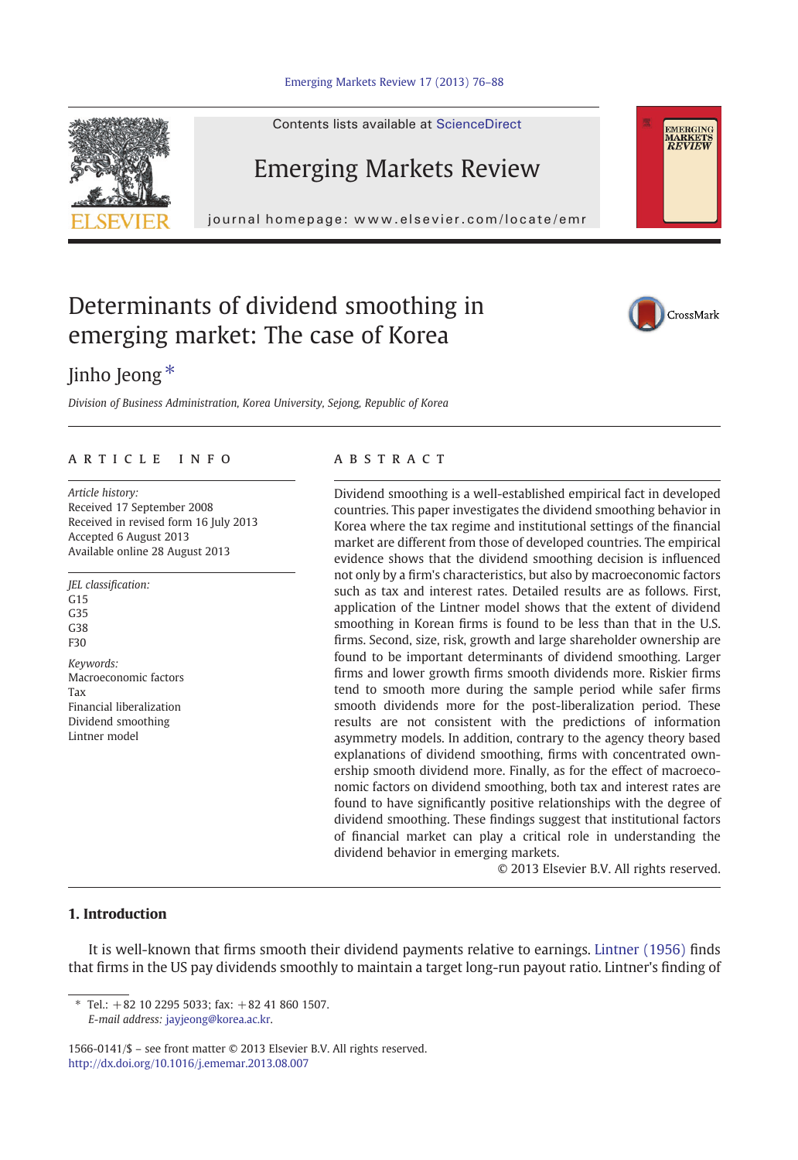Contents lists available at ScienceDirect

# Emerging Markets Review

journal homepage: www.elsevier.com/locate/emr

## Determinants of dividend smoothing in emerging market: The case of Korea

### Jinho Jeong  $*$

Division of Business Administration, Korea University, Sejong, Republic of Korea

### article info abstract

Article history: Received 17 September 2008 Received in revised form 16 July 2013 Accepted 6 August 2013 Available online 28 August 2013

JEL classification:  $G<sub>15</sub>$ G35  $C38$ F30 Keywords: Macroeconomic factors Tax Financial liberalization Dividend smoothing Lintner model

Dividend smoothing is a well-established empirical fact in developed countries. This paper investigates the dividend smoothing behavior in Korea where the tax regime and institutional settings of the financial market are different from those of developed countries. The empirical evidence shows that the dividend smoothing decision is influenced not only by a firm's characteristics, but also by macroeconomic factors such as tax and interest rates. Detailed results are as follows. First, application of the Lintner model shows that the extent of dividend smoothing in Korean firms is found to be less than that in the U.S. firms. Second, size, risk, growth and large shareholder ownership are found to be important determinants of dividend smoothing. Larger firms and lower growth firms smooth dividends more. Riskier firms tend to smooth more during the sample period while safer firms smooth dividends more for the post-liberalization period. These results are not consistent with the predictions of information asymmetry models. In addition, contrary to the agency theory based explanations of dividend smoothing, firms with concentrated ownership smooth dividend more. Finally, as for the effect of macroeconomic factors on dividend smoothing, both tax and interest rates are found to have significantly positive relationships with the degree of dividend smoothing. These findings suggest that institutional factors of financial market can play a critical role in understanding the dividend behavior in emerging markets.

© 2013 Elsevier B.V. All rights reserved.

EMERGING<br>MARKETS<br>*REVIEW* 

CrossMark

### 1. Introduction

It is well-known that firms smooth their dividend payments relative to earnings. [Lintner \(1956\)](#page--1-0) finds that firms in the US pay dividends smoothly to maintain a target long-run payout ratio. Lintner's finding of

1566-0141/\$ – see front matter © 2013 Elsevier B.V. All rights reserved. <http://dx.doi.org/10.1016/j.ememar.2013.08.007>

<sup>⁎</sup> Tel.: +82 10 2295 5033; fax: +82 41 860 1507. E-mail address: [jayjeong@korea.ac.kr.](mailto:jayjeong@korea.ac.kr)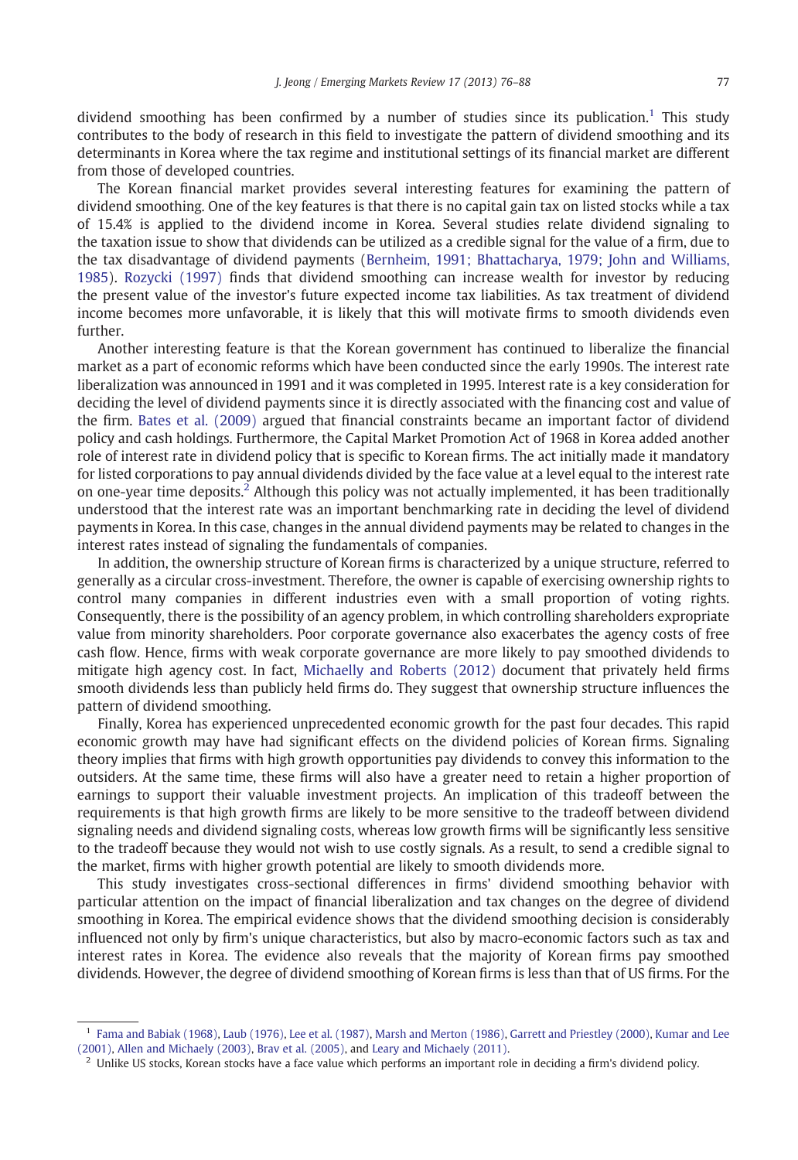dividend smoothing has been confirmed by a number of studies since its publication.<sup>1</sup> This study contributes to the body of research in this field to investigate the pattern of dividend smoothing and its determinants in Korea where the tax regime and institutional settings of its financial market are different from those of developed countries.

The Korean financial market provides several interesting features for examining the pattern of dividend smoothing. One of the key features is that there is no capital gain tax on listed stocks while a tax of 15.4% is applied to the dividend income in Korea. Several studies relate dividend signaling to the taxation issue to show that dividends can be utilized as a credible signal for the value of a firm, due to the tax disadvantage of dividend payments ([Bernheim, 1991; Bhattacharya, 1979; John and Williams,](#page--1-0) [1985\)](#page--1-0). [Rozycki \(1997\)](#page--1-0) finds that dividend smoothing can increase wealth for investor by reducing the present value of the investor's future expected income tax liabilities. As tax treatment of dividend income becomes more unfavorable, it is likely that this will motivate firms to smooth dividends even further.

Another interesting feature is that the Korean government has continued to liberalize the financial market as a part of economic reforms which have been conducted since the early 1990s. The interest rate liberalization was announced in 1991 and it was completed in 1995. Interest rate is a key consideration for deciding the level of dividend payments since it is directly associated with the financing cost and value of the firm. [Bates et al. \(2009\)](#page--1-0) argued that financial constraints became an important factor of dividend policy and cash holdings. Furthermore, the Capital Market Promotion Act of 1968 in Korea added another role of interest rate in dividend policy that is specific to Korean firms. The act initially made it mandatory for listed corporations to pay annual dividends divided by the face value at a level equal to the interest rate on one-year time deposits.<sup>2</sup> Although this policy was not actually implemented, it has been traditionally understood that the interest rate was an important benchmarking rate in deciding the level of dividend payments in Korea. In this case, changes in the annual dividend payments may be related to changes in the interest rates instead of signaling the fundamentals of companies.

In addition, the ownership structure of Korean firms is characterized by a unique structure, referred to generally as a circular cross-investment. Therefore, the owner is capable of exercising ownership rights to control many companies in different industries even with a small proportion of voting rights. Consequently, there is the possibility of an agency problem, in which controlling shareholders expropriate value from minority shareholders. Poor corporate governance also exacerbates the agency costs of free cash flow. Hence, firms with weak corporate governance are more likely to pay smoothed dividends to mitigate high agency cost. In fact, [Michaelly and Roberts \(2012\)](#page--1-0) document that privately held firms smooth dividends less than publicly held firms do. They suggest that ownership structure influences the pattern of dividend smoothing.

Finally, Korea has experienced unprecedented economic growth for the past four decades. This rapid economic growth may have had significant effects on the dividend policies of Korean firms. Signaling theory implies that firms with high growth opportunities pay dividends to convey this information to the outsiders. At the same time, these firms will also have a greater need to retain a higher proportion of earnings to support their valuable investment projects. An implication of this tradeoff between the requirements is that high growth firms are likely to be more sensitive to the tradeoff between dividend signaling needs and dividend signaling costs, whereas low growth firms will be significantly less sensitive to the tradeoff because they would not wish to use costly signals. As a result, to send a credible signal to the market, firms with higher growth potential are likely to smooth dividends more.

This study investigates cross-sectional differences in firms' dividend smoothing behavior with particular attention on the impact of financial liberalization and tax changes on the degree of dividend smoothing in Korea. The empirical evidence shows that the dividend smoothing decision is considerably influenced not only by firm's unique characteristics, but also by macro-economic factors such as tax and interest rates in Korea. The evidence also reveals that the majority of Korean firms pay smoothed dividends. However, the degree of dividend smoothing of Korean firms is less than that of US firms. For the

<sup>1</sup> [Fama and Babiak \(1968\),](#page--1-0) [Laub \(1976\),](#page--1-0) [Lee et al. \(1987\),](#page--1-0) [Marsh and Merton \(1986\)](#page--1-0), [Garrett and Priestley \(2000\)](#page--1-0), [Kumar and Lee](#page--1-0) [\(2001\),](#page--1-0) [Allen and Michaely \(2003\),](#page--1-0) [Brav et al. \(2005\)](#page--1-0), and [Leary and Michaely \(2011\).](#page--1-0)

 $2$  Unlike US stocks, Korean stocks have a face value which performs an important role in deciding a firm's dividend policy.